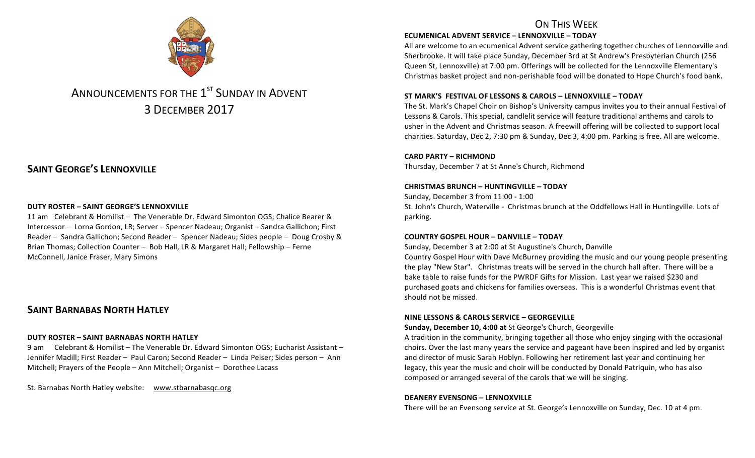

# ANNOUNCEMENTS FOR THE 1<sup>ST</sup> SUNDAY IN ADVENT 3 DECEMBER 2017

# **SAINT GEORGE'S LENNOXVILLE**

#### **DUTY ROSTER – SAINT GEORGE'S LENNOXVILLE**

11 am Celebrant & Homilist - The Venerable Dr. Edward Simonton OGS; Chalice Bearer & Intercessor – Lorna Gordon, LR; Server – Spencer Nadeau; Organist – Sandra Gallichon; First Reader – Sandra Gallichon; Second Reader – Spencer Nadeau; Sides people – Doug Crosby & Brian Thomas; Collection Counter - Bob Hall, LR & Margaret Hall; Fellowship - Ferne McConnell, Janice Fraser, Mary Simons

## **SAINT BARNABAS NORTH HATLEY**

#### **DUTY ROSTER – SAINT BARNABAS NORTH HATLEY**

9 am Celebrant & Homilist – The Venerable Dr. Edward Simonton OGS: Eucharist Assistant – Jennifer Madill; First Reader - Paul Caron; Second Reader - Linda Pelser; Sides person - Ann Mitchell; Prayers of the People – Ann Mitchell; Organist – Dorothee Lacass

St. Barnabas North Hatley website: www.stbarnabasqc.org

## ON THIS WFFK

#### **ECUMENICAL ADVENT SERVICE – LENNOXVILLE – TODAY**

All are welcome to an ecumenical Advent service gathering together churches of Lennoxville and Sherbrooke. It will take place Sunday, December 3rd at St Andrew's Presbyterian Church (256) Queen St, Lennoxville) at 7:00 pm. Offerings will be collected for the Lennoxville Elementary's Christmas basket project and non-perishable food will be donated to Hope Church's food bank.

#### **ST MARK'S FESTIVAL OF LESSONS & CAROLS – LENNOXVILLE – TODAY**

The St. Mark's Chapel Choir on Bishop's University campus invites you to their annual Festival of Lessons & Carols. This special, candlelit service will feature traditional anthems and carols to usher in the Advent and Christmas season. A freewill offering will be collected to support local charities. Saturday, Dec 2, 7:30 pm & Sunday, Dec 3, 4:00 pm. Parking is free. All are welcome.

#### **CARD PARTY – RICHMOND**

Thursday, December 7 at St Anne's Church, Richmond

#### **CHRISTMAS BRUNCH – HUNTINGVILLE – TODAY**

Sunday, December 3 from 11:00 - 1:00 St. John's Church, Waterville - Christmas brunch at the Oddfellows Hall in Huntingville. Lots of parking.

#### **COUNTRY GOSPEL HOUR – DANVILLE – TODAY**

Sunday, December 3 at 2:00 at St Augustine's Church, Danville Country Gospel Hour with Dave McBurney providing the music and our young people presenting the play "New Star". Christmas treats will be served in the church hall after. There will be a bake table to raise funds for the PWRDF Gifts for Mission. Last year we raised \$230 and purchased goats and chickens for families overseas. This is a wonderful Christmas event that should not be missed.

#### **NINE LESSONS & CAROLS SERVICE – GEORGEVILLE**

**Sunday, December 10, 4:00 at St George's Church, Georgeville** 

A tradition in the community, bringing together all those who enjoy singing with the occasional choirs. Over the last many years the service and pageant have been inspired and led by organist and director of music Sarah Hoblyn. Following her retirement last year and continuing her legacy, this year the music and choir will be conducted by Donald Patriquin, who has also composed or arranged several of the carols that we will be singing.

#### **DEANERY EVENSONG – LENNOXVILLE**

There will be an Evensong service at St. George's Lennoxville on Sunday, Dec. 10 at 4 pm.